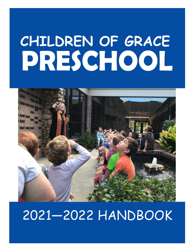# CHILDREN OF GRACE PRESCHOOL



## 2021—2022 HANDBOOK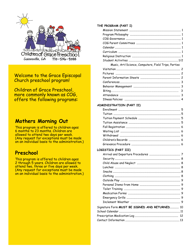

#### **Welcome to the Grace Episcopal** Church preschool program!

**Children of Grace Preschool.** more commonly known as COG, offers the following programs:

#### **Mothers Morning Out**

This program is offered to children ages 6 months to 23 months. Children are allowed to attend two days per week. (Any request for exceptions must be made on an individual basis to the administration.)

#### Preschool

This program is offered to children ages 2 through 5 years. Children are allowed to attend two, three or five days per week. (Any request for exceptions must be made on an individual basis to the administration.)

#### THE PROGRAM (PART I)

| Music, Art/Science, Computers, Field Trips, Parties |   |
|-----------------------------------------------------|---|
|                                                     |   |
|                                                     |   |
|                                                     |   |
|                                                     |   |
|                                                     |   |
|                                                     |   |
|                                                     |   |
|                                                     | 3 |

#### ADMINISTRATION (PART II)

#### LOGISTICS (PART III)

| Signature Form MUST BE SIGNED AND RETURNED 10 |  |
|-----------------------------------------------|--|
|                                               |  |
|                                               |  |
|                                               |  |
|                                               |  |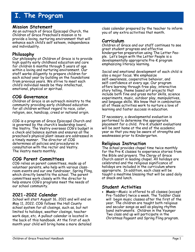## **I. The Program**

#### **Mission Statement**

As an outreach of Grace Episcopal Church, the Children of Grace Preschool's mission is to provide a loving, nurturing environment that will enhance each child's self esteem, independence and individuality.

#### **Philosophy**

Our philosophy at Children of Grace is to provide high quality early childhood education and care for children 6 months through 5 years of age within a loving and nurturing environment. Our staff works diligently to prepare children for each school year by building on the foundations from previous years. We strive to meet each child's individual needs be they intellectual, emotional, physical or spiritual.

#### **COG Governance**

Children of Grace is an outreach ministry to the community providing early childhood education for all children without regard to race, color, religion, sex, handicap, creed or national origin.

COG is a program of Grace Episcopal Church and is governed by the church's leadership board, the Vestry. The Vestry oversees COG's budget in a check and balance system and ensures all the preschool's physical plant issues are addressed in a timely manner. The director of COG determines all policies and procedures in consultation with the rector and Vestry. The Vestry meets monthly.

#### **COG Parent Committees**

COG relies on parent committees, made up of volunteer parents, who help with various classroom events and our one fundraiser, Spring Fling, which directly benefits the school. The parent committees work closely with the director to help ensure COG's programs meet the needs of our school community.

#### **2021-2022 Calendar**

School will start August 16, 2021 and will end on May 11, 2022. COG follows the Hall County school system for all closings, such as, but not limited to holidays, weather closings, teacher work days, etc. A pullout calendar is located in the back of this handbook. At the first of each month your child will bring home a more detailed

class calendar prepared by the teacher to inform you of any extra activities that month.

#### **Curriculum**

Children of Grace and our staff continues to see great student progress and effective kindergarten preparation using The Letter People. Let's begin with the Letter People is a developmentally appropriate Pre-K program emphasizing literacy learning.

Social and emotional development of each child is also a major focus. We emphasize self-awareness, cooperative behavior, and self-confidence at every age. Our program offers learning through free play, interactive story telling, theme based art projects that include both fine and gross motor skills, science experiments, music, outdoor play, manipulatives, and language skills. We know that in combination all of these activities work to nurture a love of learning and foster success in education.

If necessary, a developmental evaluation is performed to determine the appropriate placement for a child. Pre-K student evaluations will be sent home at the end of the academic year so that you may be aware of strengths and weaknesses prior to Kindergarten.

#### **Religious Instruction**

The school provides chapel time twice monthly for the Pre-K classes to experience stories from the Bible and prayers. The Clergy of Grace Church assist in leading chapel. All holidays are celebrated and the religious significance of holidays are included in the curriculum where appropriate. In addition, each class will be taught a mealtime blessing that will be used daily at snack and lunch.

#### **Student Activities**

• **Music**—Music is offered to all classes (except Pre-Toddler) twice a week. The Toddler Class will begin music classes after the first of the year. The children are taught both religious and secular songs as well as playing rhythm band instruments. Children in the Younger Two class and up will participate in the Christmas Pageant and Spring Fling program.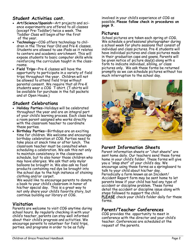#### **Student Activities cont.**

- **Art/Science/Spanish**—Art projects and science experiments are offered to all classes (except Pre-Toddler) twice a week. The Toddler Class will begin after the first of the year.
- **Technology**—COG offers technology to children in the Three Year Old and Pre-K classes. Students are allowed to use iPads as it relates to centers and academic enrichment. This will expose students to basic computer skills while reinforcing the curriculum taught in the classrooms.
- **Field Trips**—Pre-K classes will have the opportunity to participate in a variety of field trips throughout the year. Children will not be allowed to attend field trips without parental consent. We require that all Pre-K students wear a COG T-shirt. (T-shirts will be available for purchase in the fall packets and at Open House.)

#### **Student Celebrations**

- **Holiday Parties-**Holidays will be celebrated throughout the year and are an integral part of your child's learning process. Each class has a room parent assigned who works directly with the classroom teacher to coordinate these parties.
- **Birthday Parties**—Birthdays are an exciting time for children. We welcome and encourage birthday celebration at COG. Parties need to take place at snack time or after lunch. The classroom teacher must be consulted when scheduling a celebration. We ask this not only to maintain consistency in the classroom schedule, but to also honor those children who may have allergies. We ask that only mylar balloons be brought in. We also ask no food products containing red dye be brought into the school due to the high instance of staining clothing and/or carpet.

 We would like to encourage parents to donate a book to your child's classroom in honor of his/her special day. This is a great way to not only share your child's favorite story, but continue building our library at COG.

#### **Visitation**

Parents are welcome to visit COG anytime during school hours. By regularly checking in with your child's teacher, parents can stay well informed about their child's progress and activities. We encourage parents to volunteer for field trips, parties. and programs in order to be as fully

involved in your child's experience at COG as possible. **Please follow check in procedures on page 9.**

#### **Pictures**

School pictures are taken each spring at COG. We schedule a professional photographer during a school week for photo sessions that consist of individual and class pictures. Pre-K students will have individual pictures and class pictures made in their graduation caps and gowns. Parents will be given notice of picture day(s) along with a form to indicate individual, sibling, or class pictures only. We ask these forms be returned promptly so we can schedule pictures without too much interruption to the school day.



#### **Parent Information Sheets**

Parent information sheets or "chat sheets" are sent home daily. Our teachers send these forms home in your child's folder. These forms will give you a "snap shot" of your child's day. We encourage using these forms as a springboard to talk to your child about his/her day. Periodically a form known as an Incident/ Accident Report form may be sent home to let parents know if your child has had any type of accident or discipline problem. These forms detail the accident or discipline issue along with steps followed to support the child. **PLEASE** check your child's folder daily for these forms.

#### **Parent/Teacher Conferences**

COG provides the opportunity to meet in conference with the director and your child's teacher. Conferences are scheduled at the request of the parents.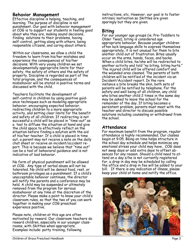#### **Behavior Management**

Effective discipline is helping, teaching, and learning. The purpose of discipline is not punishment. Our goal with behavior management at COG is to support our students in feeling good about who they are, making sound decisions, finding solutions to their problems, having self-control, getting along with others, being responsible citizens, and caring about others.

Within our classrooms, we allow a child the freedom to learn from his/her mistakes and experience the consequences of his/her decisions. With very young children we set developmentally appropriate limits for their safety, the safety of others and the safety of property. Discipline is regarded as part of the total program, and the consequences of misbehavior will be stated in positive terms and discussed with the child.

Teachers facilitate the development of self-control in children by using positive guidance techniques such as modeling appropriate behavior, encouraging expected behavior, redirecting children to a more appropriate activity, and setting clear limits for the benefit and safety of all children. If redirecting is not successful a child will be placed in "time-out" as a tool to diffuse the situation at hand and give the child space to effectively reflect on the situation before finding a solution with the aid of his/her teacher. If a child is placed in time out, a parent may not receive a note on the daily chat sheet or receive an incident/accident report. This is because we believe that "time out" can be a tool of behavioral guidance and is not indicative of bad behavior.

No form of physical punishment will be allowed at COG. Any type of verbal abuse will not be tolerated. No child will be denied food, rest, or bathroom privileges as a punishment. If a child's unacceptable behavior continues, the director will notify the parents and a conference may be held. A child may be suspended or ultimately removed from the program for serious misbehavior at any time at the discretion of the director. Please make a point to know your child's classroom rules, so that the two of you can work together in making your COG preschool experience positive.

Please note, children at this age are often motivated by reward. Our classroom teachers do reward children, especially in our younger classrooms, with Skittles when appropriate. Examples include: potty training, following

instructions, etc. However, our goal is to foster intrinsic motivation so Skittles are given sparingly but they are given.

#### **Biting**

For our younger age groups (ie. Pre-Toddlers to Older Twos), biting is considered age appropriate behavior. Because younger children often lack language skills to express themselves appropriately, it is not unusual for them to bite another child out of frustration. Bites usually occur on the arms, hands, faces, and backs. When a child bites, he/she will be redirected to another activity and told "no biting, biting hurts." The injured child will be offered comfort and the wounded area cleaned. The parents of both children will be notified of the incident via an Incident/Accident report. In the rare instance a bite breaks the skin, both sets of parents will be notified by telephone. For the safety and well being of all children, any child who bites another child 2 times in the same day may be asked to leave the school for the remainder of the day. If biting becomes a persistent problem, parents must meet with the teacher and director to discuss possible solutions including counseling or withdrawal from the school.

#### **Attendance**

For maximum benefit from the program, regular attendance is highly recommended. Our classes begin at 9:05. Being on time helps structure in the school day schedule and helps minimize any emotional stress your child may have**.** COG does not swap days or add extra days to offset absences for any reason. Should a child need to attend on a day s/he is not currently registered for, a drop in day may be scheduled by calling the office and a drop in fee will be added to your bill. If there is any indication of illness, please keep your child at home and notify the office.

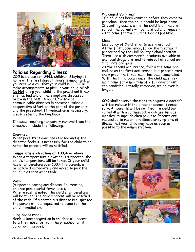

#### **Policies Regarding Illness**

COG is a place for WELL children. Staying at home at the first sign of illness is important. If you receive a call that your child is ill, PLEASE make arrangements to pick up your child  $\overline{\mathsf{ASAP}}$ . Do Not bring your child to the preschool if he/ she has had any of the symptoms discussed below in the past 24 hours. Control of communicable diseases in preschool takes a cooperative effort on the part of the parents and the preschool. If medication is necessary, please refer to the handbook.

Illnesses requiring temporary removal from the preschool include the following:

#### **Diarrhea**

When persistent diarrhea is noted and if the director feels it is necessary for the child to go home the parents will be notified.

#### **Temperature elevation of 100.4 or above**

When a temperature elevation is suspected, the child's temperature will be taken. If your child has a temperature over 100.4 the parents will be notified immediately and asked to pick the child up as soon as possible.

#### **Rash**

(suspected contagious disease, i.e. measles, chicken pox, scarlet fever, etc.): When a rash is noted, the child's temperature will be taken. The child's parent will be notified of the rash. If a contagious disease is suspected the parent will be requested to come for the child immediately.

#### **Lung Congestion:**

Serious lung congestion in children will necessitate their absence from the preschool until condition improves.

#### **Prolonged Vomiting:**

If a child has been vomiting before they come to preschool, then the child should be kept home. If vomiting occurs while the child is at the preschool, the parents will be notified and requested to come for the child as soon as possible.

#### **Lice:**

Lice policy of Children of Grace Preschool: At the first occurrence, follow the treatment prescribed by the Hall County School System. Treat lice with commercial products available at any local drugstore, and remain out of school until all nits are gone.

At the second occurrence, follow the same procedure as the first occurrence, but parents must show proof that treatment has been completed. With the third occurrence, the child must remain home for a minimum of 7 full days or until the condition is totally remedied, which ever is longer.

COG shall reserve the right to request a doctor's written release if the director deems it necessary. All parents will be notified if a child becomes ill with a communicable disease such as measles, mumps, chicken pox, etc. Parents are requested to report any illness or symptoms of illness that your child may have as soon as possible to the administration.

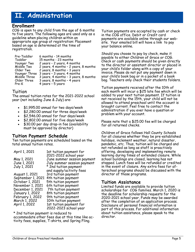### **II. Administration**

#### **Enrollment**

COG is open to any child from the age of 6 months to five years. The following ages are used only as a guideline when placing children within an appropriate age group at registration: Placement based on age is determined at the time of registration.

| Pre-Toddler   | 6 months - 14 months                  |
|---------------|---------------------------------------|
| Toddler       | 15 months - 23 months                 |
| Younger Two   | 2 years - 2 years, 4 months           |
| Middle Two    | 2 years, 4 months - 2 years, 8 months |
| Older Two     | 2 years, 8 months - 3 years           |
| Younger Three | 3 years - 3 years, 4 months           |
| Middle Three  | 3 years, 4 months - 3 years, 8 months |
| Older Three   | 3 years, 8 months - 4 years           |
| Pre-K         | 4 years - 5 years                     |

#### Tuition

The annual tuition rates for the 2021-2022 school year (not including June & July) are:

- \$1,995.00 annual for two days/week
- \$2,280.00 annual for three days/week
- \$2,546.00 annual for four days/week
- \$2,802.00 annual for five days/week
- \$30.00 per day drop-in fee (availability must be approved by director)

#### **Tuition Payment Schedule**

Ten tuition payments are scheduled based on the total annual tuition rates.

| April 1, 2021     | 1st tuition payment for     |
|-------------------|-----------------------------|
|                   | 2021-2022 school year       |
| May 1, 2021       | June summer session payment |
| June 1, 2021      | July summer session payment |
| July 1, 2021      | * 2nd tuition payment       |
|                   | and supply/activity fees    |
| August 1, 2021    | 3rd tuition payment         |
| September 1, 2021 | 4th tuition payment         |
| October 1, 2021   | 5th tuition payment         |
| November 1, 2021  | 6th tuition payment         |
| December 1, 2021  | 7th tuition payment         |
| January 1, 2022   | 8th tuition payment         |
| February 1, 2022  | 9th tuition payment         |
| March 1, 2022     | 10th tuition payment        |
| April 1, 2022     | 1st tuition payment for     |
|                   | 2022-2023 school year       |

\* 2nd tuition payment is reduced to

accommodate other fees due at this time like activity fees, supplies, T-shirts, and Spring Fling.

Tuition payments are accepted by cash or check in the COG office. Debit or Credit card payments are available online through our website. Your emailed bill will have a link to pay your balance online.

Should you choose to pay by check, make it payable to either Children of Grace or COG. Check or cash payments should be given directly to the director or assistant director or placed in your child's folder along with a copy of your invoice. Please do not put any payment down in your child's book bag or in a pocket of a book bag. Teachers only check their students folders.

Tuition payments received after the 10th of each month will incur a \$25 late fee which will be added to your next tuition payment. If tuition is not received by the 15th, your child will not be allowed to attend preschool until the account is brought current. Feel free to contact the administration if you ever have a question or problem with your account.

Please note that a \$25.00 fee will be charged for all returned checks.

Children of Grace follows Hall County Schools for all closures whether they be pre-established holidays, inclement weather, natural disaster, pandemic, etc. Thus, tuition will be charged and not refunded as long as staff is proactively offering, developing and implementing remote learning during times of extended closure. While school buildings are closed, learning has not stopped. Lunch fees will be refunded or credited in the event of closure. Any extra fees for afterschool programs should be discussed with the director of those programs.

#### **Tuition Assistance**

Limited funds are available to provide tuition scholarships for COG families. March 1, 2020 is the deadline for scholarship requests for the 2020-2021 school year. Funds may be awarded after the completion of an application process. Disclosure of personal financial information is part of this process. For additional information about tuition assistance, please speak to the director.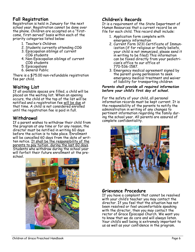#### **Fall Registration**

Registration is held in January for the next school year. Registration cannot be done over the phone. Children are accepted on a "firstcome, first-served" basis within each of the priority categories listed below:

- 1. Teacher's Children
- 2. Students currently attending COG
- 3. Episcopalian siblings of current COG students
- 4. Non-Episcopalian siblings of current COG students
- 5. Episcopalians
- 6. General Public

There is a \$75.00 non-refundable registration fee per child.

#### **Waiting List**

If all available spaces are filled, a child will be placed on the waiting list. When an opening occurs, the child at the top of the list will be notified and a registration fee will be due at that time. A child is not considered enrolled until the registration fee is paid in full.

#### **Withdrawal**

If a parent wishes to withdraw their child from the program at any time or for any reason, the director must be notified in writing 60 days before the action is to take place. Enrollment will be cancelled 60 days from the date of written notice. It shall be the responsibility of the parents to pay tuition during the last 60 days. Students who withdraw during the school year will forfeit their future enrollment at the preschool.



#### **Children's Records**

It is a requirement of the State Department of Human Resources that a current record be on file for each child. This record shall include:

- 1. Application form complete with emergency information
- 2. Current Form 3231 Certificate of Immunization (if for religious or family beliefs, your child is not immunized, please send it in writing to be filed) This information can be faxed directly from your pediatrician's office to our office at 770-536-1587.
- 3. Emergency medical agreement signed by the parent giving permission to seek emergency medical treatment and waiver of liability for transporting children

#### *Parents shall provide all required information before your child's first day of school.*

For the safety of your child, all personal information records must be kept current. It is the responsibility of the parents to notify the administration in writing of any changes to pertinent information regarding the family during the school year. All parents are assured of complete confidentiality.



#### **Grievance Procedure**

If you have a complaint that cannot be resolved with your child's teacher you may contact the director. If you feel that the situation has not been resolved or feel uncomfortable speaking with the director, then you may contact the rector of Grace Episcopal Church. We want you to know that we do care and will always listen. Your child's well being is extremely important to us as well as your confidence in the program.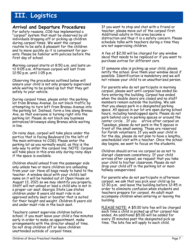## **III. Logistics**

#### **Arrival and Departure Procedures**

For safety reasons, COG has implemented a "carpool" system that must be observed by all individuals dropping off or picking up children during carpool times. We want the carpool routine to be safe & pleasant for the children and to move quickly so it is convenient for parents. Please be familiar with policies before the first day of school.

Morning carpool starts at 8:50 a.m. and lasts until 9:05 a.m. Afternoon carpool will last from 12:50 p.m. until 1:05 p.m.

Observing the procedures outlined below will ensure your child is not only properly supervised while waiting to be picked up but that they get safely to your vehicle.

During carpool times, please enter the parking lot from Brenau Avenue. Do not block traffic by attempting to turn left from Brenau Avenue into the parking lot. Instead, form a line along Brenau Ave. so that everyone is turning right into the parking lot. Please do not block any business entrances/driveways along Brenau while waiting in line.

On rainy days, carpool will take place under the portico that is facing Boulevard (to the left of the main entrance to COG). Please enter the parking lot as you normally would, as this is the only way to enter the carpool line. NOTE: Carpool will take place in this area only during rainy days if the space is available.

Children should unload from the passenger side only unless two or more children are unloading from your car. Have all bags ready to hand to the teacher. A window decal with your child's last name on it will be handed out at Open House on August 13, 2021 so we may identify you properly, Staff will not unload or load a child who is not in a proper car seat. Georgia State Law states children under 8 years old must ride in an approved safety seat or booster that is suited for their height and weight. Children 8 years old and under must ride in the back seat.

Teachers cannot supervise children before school; if you must leave your child a few minutes early in order to make an appointment, make arrangements with the director ahead of time. Do not drop children off or leave children unattended outside of carpool times.

If you want to stop and chat with a friend or teacher, please move out of the carpool first. Additional adults in this area become a distraction and thus it is a safety concern. Please schedule talks with teachers during a time they are not supervising children.

A fee of \$2.00 will be charged for any window decal that needs to be replaced or if you want to purchase extras for different cars.

If someone else is picking up your child, please notify the school. Give them your window decal if possible. Identification is mandatory and we will not release your child to an unauthorized person.

For parents who do not participate in morning carpool, please wait until carpool has ended before entering the building. Carpool has ended when the double doors are closed and no staff members remain outside the building. We ask that you always park in a designated parking space. All spaces in our lot are open during school hours, including handicapped spots. Please do not park behind cars in parking spaces or around the center circle. . If you arrive after carpool on Tuesdays, please do not park in the 5 spaces in front of the small awning. Those are reserved for Parish volunteers. If you walk your child in for the day, please do not plan to have a lengthy, unscheduled visit with a teacher. Once the school day begins, we want to focus on the students.

Children should arrive via carpool so as not to disrupt classroom consistency. If your child arrives after carpool, we request that you take your child to his/her classroom. Please do not drop your child off in the parking lot or main hallway unsupervised.

For parents who do not participate in afternoon carpool, we ask that you pick your child up by 12:30 p.m. and leave the building before 12:45 in order to eliminate confusion when students and teachers prepare for carpool. An adult must accompany children when entering or leaving the building.

PLEASE NOTE: A \$5.00 late fee will be charged each time a child is picked up after carpool has ended. An additional \$5.00 will be added for every 15 minutes past the designated pick up time. The late fee will apply to each child.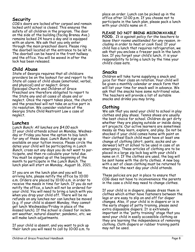#### **Security**

COG's doors are locked after carpool and remain locked until school is closed. This ensures the safety of all children in the program. The door on the side of the building (facing Brenau Ave.) remains locked 24 hours a day and is equipped with an alarm. We ask that you only enter through the main preschool doors. Please ring the doorbell located at the entrance to be let in. The doorbell can be heard in the front hallway and the office. You will be waved in after the lock has been released.

#### **Child Abuse**

State of Georgia requires that all childcare providers be on the lookout for and report to the State all cases of child abuse (emotional, verbal, and physical) and or neglect. Grace Episcopal Church and Children of Grace Preschool are therefore obligated to report to the State any and all cases of abuse and or neglect. Once the report takes place, the church and the preschool will not take an active part in its resolution. We consider violation of the Georgia State Child Restraint Law a case of neglect.

#### **Lunches**

*Lunch Bunch: All lunches are \$4.00 each* If your child attends school on Monday, Wednesday or Friday you have the option to buy lunch for any of these days. *Lunch Bunch* sign up is available on your tuition invoice. Please circle the dates your child will be participating in *Lunch Bunch*, cross out any days you do not want to participate, and then re-calculate your total due. You must be signed up at the beginning of the month to participate in the *Lunch Bunch*. The lunch plan will start on Monday, August 16, 2021.

If you are on the lunch plan and you will be arriving late, please notify the office by 10:00 a.m. Orders are placed by 10:00 a.m. in order to receive the meals in time for lunch. If you do not notify the office, a lunch will not be ordered for your child. You will need to bring a lunch with you when you drop your child off. There will be no refunds on any lunches nor can lunches be moved (e.g. if your child is absent Monday, they cannot get lunch Wednesday/Friday in place of the missed lunch). If the school is closed for inclement weather, natural disaster, pandemic, etc. we will make lunch adjustments.

If your child is absent, and you want to pick up their lunch you will need to call by 10:00 a.m. to place an order. Lunch can be picked up in the office after 12:00 p.m. If you choose not to participate in the lunch plan, please pack a lunch with your child's name on it.

#### **PLEASE DO NOT BRING MICROWAVABLE**

**FOOD.** *It is against policy for the teachers to leave their rooms unattended for any reason, including in order to heat or cook food.* If your child has a lunch that requires refrigeration, we ask that you enclose a freezer pack in the lunch box. If you forget your child's lunch, it is your responsibility to bring a lunch by the time your child's class eats.

#### **Snacks**

Children will take turns supplying a snack and juice for their class on rotation. Your child will be given a monthly calendar or snack form that will list your time for snack well in advance. We ask that the snacks have some nutritional value. The teachers will provide a list of suitable snacks and drinks you may bring.

#### **Clothing**

We ask that you send your child to school in play clothes and play shoes. Tennis shoes are usually the best choice for school. Children do get dirty whether they are playing outside or inside doing art projects. Our active learners are sometimes messy as they learn, explore, and play. Do not be shocked if your child comes home with paint on their clothes! Each child must have at least one change of clothing (shirt, pants, socks and underwear) left at school to be used in case of an emergency. These articles of clothing are to be placed in a large zip lock bag with your child's name on it. If the clothes are used, the bag will be sent home with the dirty clothes. A new bag with a set of clean clothing must be returned to the school the next day your child attends.

These policies are put in place to ensure that COG does not have to inconvenience the parents in the case a child may need to change clothes.

If your child is in diapers, please dress them in clothes which either have fasteners between the legs or are easy to slip on and off for diaper changes. Also, if your child is in diapers or is in the early stages of potty training, please send extra disposable diapers. It is extremely important in the "potty training" stage that you send your child in easily accessible clothing as they are learning the independence of removing clothing. Cloth diapers or rubber training pants may not be used.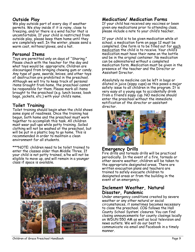#### **Outside Play**

We play outside part of every day if weather permits. We stay inside if it is rainy, close to freezing, and/or there is a wind factor that is uncomfortable. If your child is restricted from outside play, please keep them home until they are completely well. In the winter, please send a warm coat, mittens/gloves, and a hat.

#### **Personal Items**

Toys are permitted only on days of "Sharing;" Please check with the teacher for the day and what toys would be appropriate. Children are discouraged from bringing chewing gum or candy. Any type of guns, swords, knives, and other toys of destruction are prohibited in the preschool. Although we will try to keep track of personal items brought from home, the preschool cannot be responsible for them. Please mark all items brought to the preschool (e.g. lunch boxes, book bags, jackets, etc.) with your child's name.

#### **Toilet Training**

Toilet training should begin when the child shows some signs of readiness. Once the training has begun, both home and the preschool must work together to accomplish this task. All children must wear pull-ups while potty training. Soiled clothing will not be washed at the preschool, but will be put in a plastic bag to go home. This is recommended in order to maintain a clean environment for all students.

\*\*\*NOTE: children need to be toilet trained to enter the classes older than Middle Three. If your child is not potty trained, s/he will not be eligible to move up, and will remain in a younger class if space is available.



#### **Medication/ Medication Forms**

If your child has received any vaccines or been given any medications prior to attending class, please include a note to your child's teacher.

If your child is to be given medication while at school, a medication form on page 12 must be completed. One form is to be filled out for each medication the child is to receive. Your child's medication must have their name on the bottle and be in the original container. No medication can be administered without a completed medication form. Medication must be given in the presence of the teacher and the Director or Assistant Director.

Absolutely no medicine can be left in bags or diluted in juice (sippy cups) as this poses a major safety issue to all children in the program. It is very easy at a young age to accidentally drink from a friend's sippy cup. NO medicine should enter the preschool without the immediate notification of the director or assistant director.



#### **Emergency Drills**

Fire drills and tornado drills will be practiced periodically. In the event of a fire, tornado or other severe weather, children will be taken to the appropriate designated areas. There are written evacuation plans and teachers are trained to safely evacuate children to designated areas or from the building in the event of an emergency.

#### **Inclement Weather, Natural Disaster, Pandemic**

Under emergency conditions created by severe weather or any other natural or social circumstances, it sometimes becomes necessary to close the preschool. COG follows the Hall County School System' closures. You can find closing announcements for county closings locally on WDUN 550 AM as well as local television and news outlets. We will do our best to communicate via email and Facebook in a timely manner.

Children of Grace Preschool Handbook Page 9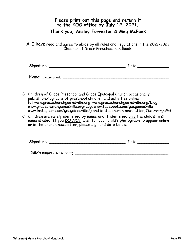#### **Please print out this page and return it to the COG office by July 12, 2021. Thank you, Ansley Forrester & Meg McPeek**

A. I have read and agree to abide by all rules and regulations in the 2021-2022 Children of Grace Preschool handbook.

Signature: \_\_\_\_\_\_\_\_\_\_\_\_\_\_\_\_\_\_\_\_\_\_\_\_\_\_\_\_\_\_\_\_ Date:\_\_\_\_\_\_\_\_\_\_\_\_\_

Name: (please print) \_\_\_\_\_\_\_\_\_\_\_\_\_\_\_\_\_\_\_\_\_\_\_\_\_\_\_\_\_\_\_\_\_\_\_\_\_\_\_\_\_\_\_\_

- B. Children of Grace Preschool and Grace Episcopal Church occasionally publish photographs of preschool children and activities online (at www.gracechurchgainesville.org, www.gracechurchgainesville.org/blog, www.gracechurchgainesville.org/cog, www.facebook.com/gecgainesville, www.instagram.com/gecgainesville/) and in the church newsletter,*The Evangelist*.
- C. Children are rarely identified by name, and **if** identified only the child's first name is used. If you *DO NOT* wish for your child's photograph to appear online or in the church newsletter, please sign and date below.

| <b>.</b><br>runa'<br>Signat<br>- 11<br>. .<br>-<br>$\cdot$ |  | Λr<br>--- |  |
|------------------------------------------------------------|--|-----------|--|
|------------------------------------------------------------|--|-----------|--|

Child's name: (Please print) \_\_\_\_\_\_\_\_\_\_\_\_\_\_\_\_\_\_\_\_\_\_\_\_\_\_\_\_\_\_\_\_\_\_\_\_\_\_\_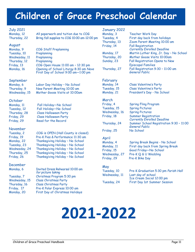## **Children of Grace Preschool Calendar**

#### July 2021

Monday, 12 All paperwork and tuition due to COG Thursday, 22 Bring fall supplies to COG 10:00 am-12:00 pm

### August

Monday, 9 COG Staff Preplanning Tuesday, 10 Preplanning Wednesday, 11 Preplanning Thursday, 12 Preplanning Friday, 13 COG Open House 11:00 am – 12:30 pm Monday, 16 Opening of School Liturgy 8:30 am *Nave* First Day of School 9:00 am-1:00 pm

#### September

Monday, 6 Labor Day Holiday – No School Thursday, 9 New Parent Meeting 10:00 am Wednesday, 15 Mother Goose Visits at 10:00am

#### October

Friday, 29 Read for the Record

Monday, 11 Fall Holiday—No School Tuesday, 12 Fall Holiday—No School Thursday, 28 Class Halloween Party Friday, 29 Class Halloween Party

## November<br>Tuesday, 2

COG is OPEN (Hall County is closed) Friday, 19 Pre-K Pies & Performance 11:30 am Monday, 22 Thanksgiving Holiday – No School Tuesday, 23 Thanksgiving Holiday – No School Wednesday, 24 Thanksgiving Holiday – No School Thursday, 25 Thanksgiving Holiday – No School Friday, 26 Thanksgiving Holiday – No School

#### December

Monday, 6 Invited Dress Rehearsal 10:00 am *for picture taking* Tuesday, 7 Christmas Program 5:30 pm Wednesday, 15 Class Christmas Party Thursday, 16 Class Christmas Party Friday, 17 Pre-K Polar Express 10:00 am Monday, 20 First Day of Christmas Holidays

#### January 2022

| Monday, 3    | <b>Teacher Work Day</b>                             |
|--------------|-----------------------------------------------------|
| Tuesday, 4   | First day back from holidays                        |
| Thursday, 13 | Zoom Parent Meeting 10:00 am                        |
| Friday, 14   | <b>Fall Registration</b>                            |
|              | <b>Currently Enrolled Deadline</b>                  |
| Monday, 17   | Martin Luther King, Jr. Day - No School             |
| Thursday, 20 | Mother Goose Visits 10:00am                         |
| Sunday, 23   | Fall Registration Opens to New                      |
|              | <b>Episcopal Families</b>                           |
| Thursday, 27 | Fall Registration 9:30 - 11:00 am<br>General Public |
| February     |                                                     |

Monday, 14 Class Valentine's Party Tuesday, 15 Class Valentine's Party Monday, 21 President's Day - No School

March

Friday, 25 No School

#### April

Friday, 15 Good Friday—No School

Friday, 4 Spring Fling Program Tuesday, 15 Spring Pictures Wednesday, 16 Spring Pictures Friday, 18 Summer Registration *Currently Enrolled Deadline* Thursday, 24 Summer School Registration 9:30 – 11:00 *General Public*

#### Monday, 4 Spring Break Begins - No School Monday, 11 First day back from Spring Break

Wednesday, 27 Pre-K Q & U Wedding Friday, 29 Pre-K Bike Day

#### May

Tuesday, 10 Pre-K Graduation 5:30 pm *Parish Hall* Wednesday, 11 Last day of school Ice Cream Social 12:00 pm Tuesday, 24 First Day 1st Summer Session

## **2021-2022**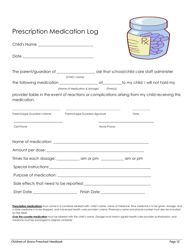| <b>Prescription Medication Log</b><br>Child's Name _____________________________                               |                                                           |            |                                                                                                                      |  |
|----------------------------------------------------------------------------------------------------------------|-----------------------------------------------------------|------------|----------------------------------------------------------------------------------------------------------------------|--|
|                                                                                                                |                                                           |            |                                                                                                                      |  |
|                                                                                                                | (Child's name)<br>(Name of Medication & dosage) (Time(s)) |            |                                                                                                                      |  |
| provider liable in the event of reactions or complications arising from my child receiving this<br>medication. |                                                           |            |                                                                                                                      |  |
| Parent/Legal Guardian's Name Parent/Legal Guardian Signature                                                   |                                                           |            | Date                                                                                                                 |  |
| <u> 1950 - Johann John Stone, mars et al. (</u><br>Cell Phone                                                  |                                                           | Home Phone | <u> 1980 - Johann John Stone, mars eta bat eta bat eta bat eta bat eta bat eta bat eta bat eta bat eta bat eta b</u> |  |
|                                                                                                                |                                                           |            |                                                                                                                      |  |
|                                                                                                                |                                                           |            |                                                                                                                      |  |
| Times for each dosage: ____________ am or pm __________ am or pm                                               |                                                           |            |                                                                                                                      |  |
|                                                                                                                |                                                           |            |                                                                                                                      |  |
|                                                                                                                |                                                           |            |                                                                                                                      |  |
|                                                                                                                |                                                           |            |                                                                                                                      |  |
|                                                                                                                |                                                           |            |                                                                                                                      |  |

**Prescription medications** must come in a container labeled with: child's name, name of medicine, time medicine is to be given, dosage, and a date medicine is to be stopped, and a licensed health care provider's name. Pharmacy name and phone number must also be included on the label.

**Over the counter medication** must be labeled with the child's name. Dosage must match signed health care provider authorization, and medicine must be packaged in original container.